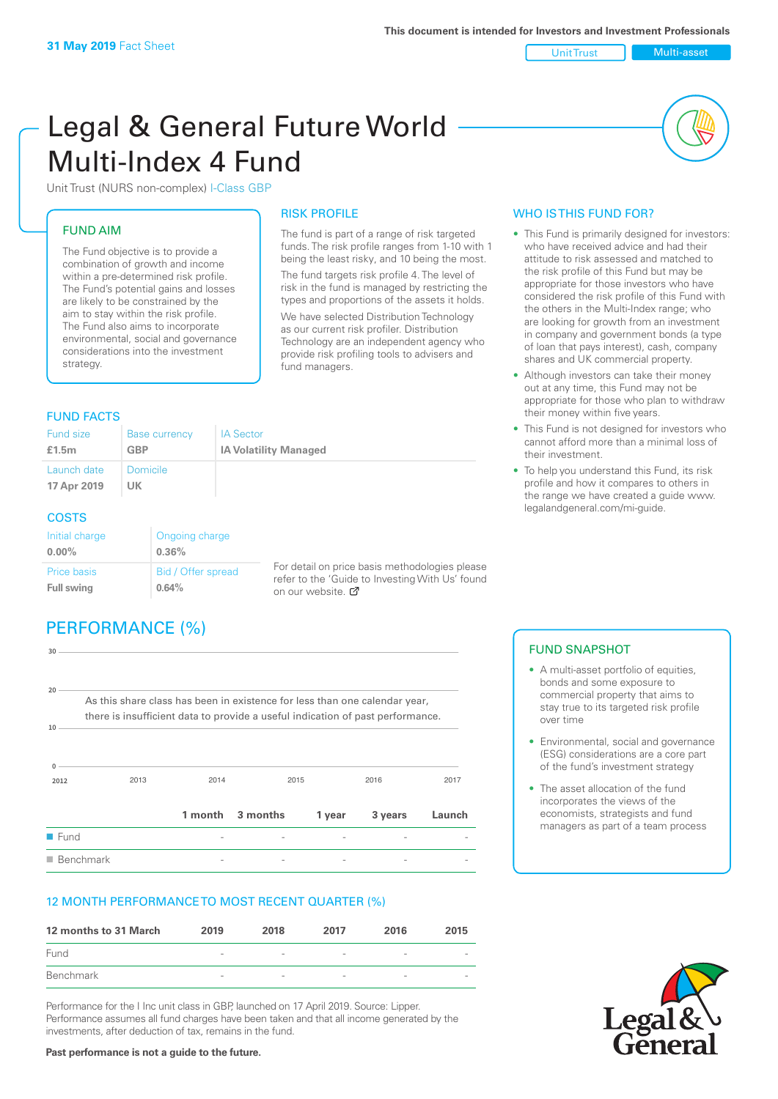Unit Trust Multi-asset

# Legal & General Future World Multi-Index 4 Fund

Unit Trust (NURS non-complex) I-Class GBP

#### FUND AIM

The Fund objective is to provide a combination of growth and income within a pre-determined risk profile. The Fund's potential gains and losses are likely to be constrained by the aim to stay within the risk profile. The Fund also aims to incorporate environmental, social and governance considerations into the investment strategy.

#### FUND FACTS

#### RISK PROFILE

The fund is part of a range of risk targeted funds. The risk profile ranges from 1-10 with 1 being the least risky, and 10 being the most. The fund targets risk profile 4. The level of risk in the fund is managed by restricting the types and proportions of the assets it holds. We have selected Distribution Technology as our current risk profiler. Distribution Technology are an independent agency who provide risk profiling tools to advisers and fund managers.

| Fund size<br>£1.5m         | <b>Base currency</b><br><b>GBP</b> | <b>IA Sector</b><br><b>IA Volatility Managed</b> |
|----------------------------|------------------------------------|--------------------------------------------------|
| Launch date<br>17 Apr 2019 | <b>Domicile</b><br>UK              |                                                  |
| <b>COSTS</b>               |                                    |                                                  |

| Initial charge    | Ongoing charge     |
|-------------------|--------------------|
| $0.00\%$          | 0.36%              |
| Price basis       | Bid / Offer spread |
| <b>Full swing</b> | 0.64%              |

For detail on price basis methodologies please refer to the 'Guide to Investing With Us' found on our website.

# PERFORMANCE (%)

| 30                       |                                                                                |                |                  |        |                          |        |
|--------------------------|--------------------------------------------------------------------------------|----------------|------------------|--------|--------------------------|--------|
| $20 -$                   |                                                                                |                |                  |        |                          |        |
|                          | As this share class has been in existence for less than one calendar year,     |                |                  |        |                          |        |
|                          | there is insufficient data to provide a useful indication of past performance. |                |                  |        |                          |        |
| 10<br>0<br>2012          | 2013                                                                           | 2014           | 2015             |        | 2016                     | 2017   |
|                          |                                                                                |                | 1 month 3 months | 1 year | 3 years                  | Launch |
| <b>Fund</b>              |                                                                                |                |                  |        |                          |        |
| $\blacksquare$ Benchmark |                                                                                | $\overline{a}$ |                  |        | $\overline{\phantom{0}}$ |        |

#### 12 MONTH PERFORMANCE TO MOST RECENT QUARTER (%)

| 12 months to 31 March | 2019                     | 2018                     | 2017                     | 2016                     | 2015 |
|-----------------------|--------------------------|--------------------------|--------------------------|--------------------------|------|
| Fund                  | $\overline{\phantom{a}}$ | $\overline{\phantom{a}}$ | $\overline{\phantom{a}}$ | $\overline{\phantom{a}}$ |      |
| Benchmark             | $\overline{\phantom{a}}$ | $\overline{\phantom{a}}$ | $\sim$                   | $\overline{\phantom{a}}$ |      |

Performance for the I Inc unit class in GBP, launched on 17 April 2019. Source: Lipper. Performance assumes all fund charges have been taken and that all income generated by the investments, after deduction of tax, remains in the fund.

#### WHO IS THIS FUND FOR?

- This Fund is primarily designed for investors: who have received advice and had their attitude to risk assessed and matched to the risk profile of this Fund but may be appropriate for those investors who have considered the risk profile of this Fund with the others in the Multi-Index range; who are looking for growth from an investment in company and government bonds (a type of loan that pays interest), cash, company shares and UK commercial property.
- Although investors can take their money out at any time, this Fund may not be appropriate for those who plan to withdraw their money within five years.
- This Fund is not designed for investors who cannot afford more than a minimal loss of their investment.
- To help you understand this Fund, its risk profile and how it compares to others in the range we have created a guide www. legalandgeneral.com/mi-guide.

#### FUND SNAPSHOT

- A multi-asset portfolio of equities. bonds and some exposure to commercial property that aims to stay true to its targeted risk profile over time
- Environmental, social and governance (ESG) considerations are a core part of the fund's investment strategy
- The asset allocation of the fund incorporates the views of the economists, strategists and fund managers as part of a team process



**Past performance is not a guide to the future.**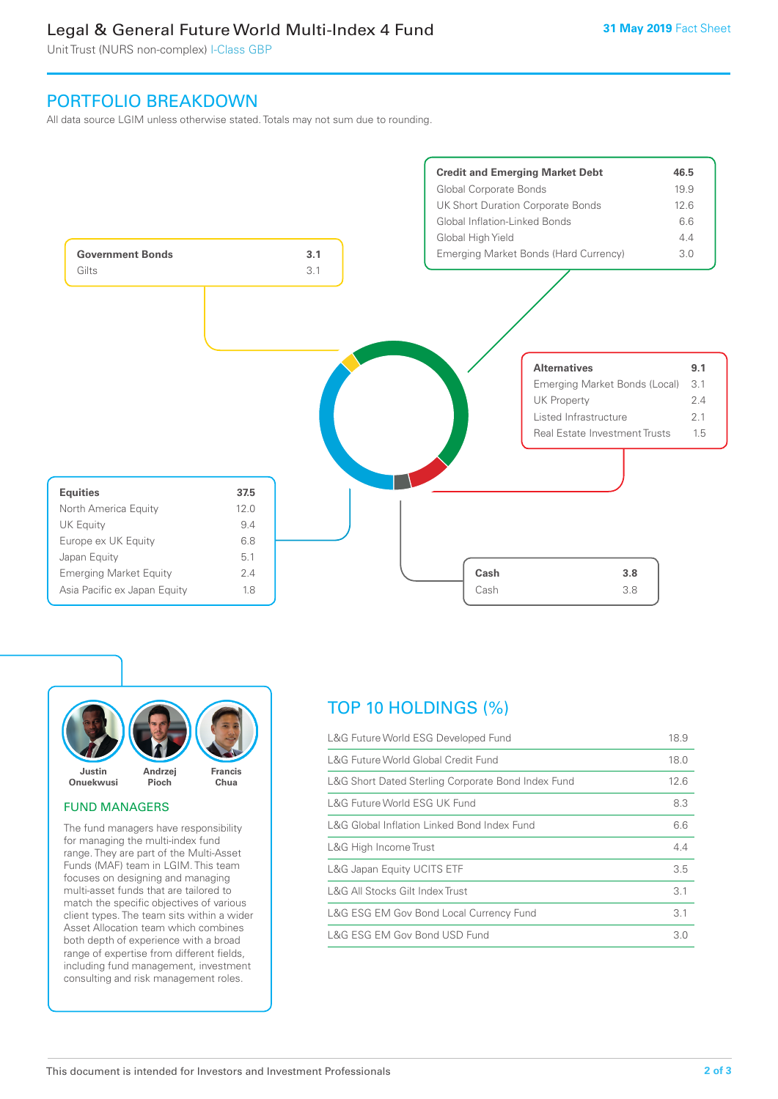## Legal & General Future World Multi-Index 4 Fund

Unit Trust (NURS non-complex) I-Class GBP

## PORTFOLIO BREAKDOWN

All data source LGIM unless otherwise stated. Totals may not sum due to rounding.





#### FUND MANAGERS

The fund managers have responsibility for managing the multi-index fund range. They are part of the Multi-Asset Funds (MAF) team in LGIM. This team focuses on designing and managing multi-asset funds that are tailored to match the specific objectives of various client types. The team sits within a wider Asset Allocation team which combines both depth of experience with a broad range of expertise from different fields, including fund management, investment consulting and risk management roles.

# TOP 10 HOLDINGS (%)

| L&G Future World ESG Developed Fund                | 18.9 |
|----------------------------------------------------|------|
| L&G Future World Global Credit Fund                | 18.0 |
| L&G Short Dated Sterling Corporate Bond Index Fund | 12.6 |
| L&G Future World ESG UK Fund                       | 8.3  |
| L&G Global Inflation Linked Bond Index Fund        | 6.6  |
| L&G High Income Trust                              | 4.4  |
| L&G Japan Equity UCITS ETF                         | 3.5  |
| L&G All Stocks Gilt Index Trust                    | 3.1  |
| L&G ESG EM Gov Bond Local Currency Fund            | 3.1  |
| L&G ESG EM Gov Bond USD Fund                       | 3.0  |